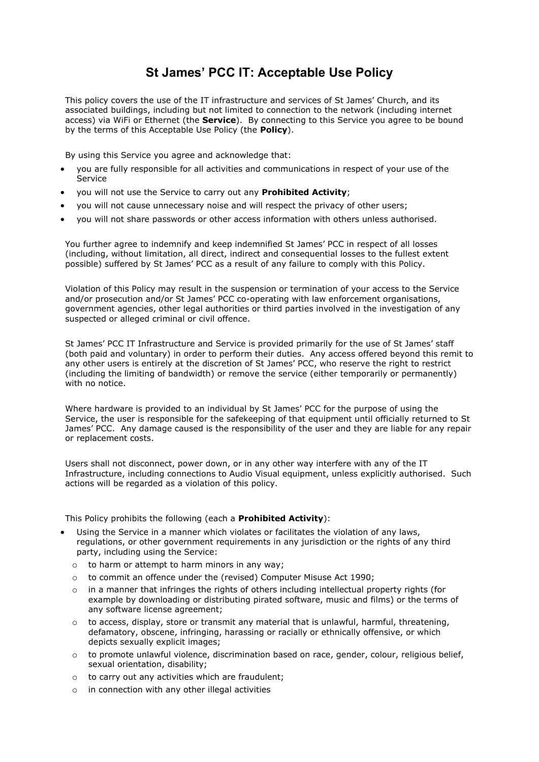## **St James' PCC IT: Acceptable Use Policy**

This policy covers the use of the IT infrastructure and services of St James' Church, and its associated buildings, including but not limited to connection to the network (including internet access) via WiFi or Ethernet (the **Service**). By connecting to this Service you agree to be bound by the terms of this Acceptable Use Policy (the **Policy**).

By using this Service you agree and acknowledge that:

- you are fully responsible for all activities and communications in respect of your use of the Service
- you will not use the Service to carry out any **Prohibited Activity**;
- you will not cause unnecessary noise and will respect the privacy of other users;
- you will not share passwords or other access information with others unless authorised.

You further agree to indemnify and keep indemnified St James' PCC in respect of all losses (including, without limitation, all direct, indirect and consequential losses to the fullest extent possible) suffered by St James' PCC as a result of any failure to comply with this Policy.

Violation of this Policy may result in the suspension or termination of your access to the Service and/or prosecution and/or St James' PCC co-operating with law enforcement organisations, government agencies, other legal authorities or third parties involved in the investigation of any suspected or alleged criminal or civil offence.

St James' PCC IT Infrastructure and Service is provided primarily for the use of St James' staff (both paid and voluntary) in order to perform their duties. Any access offered beyond this remit to any other users is entirely at the discretion of St James' PCC, who reserve the right to restrict (including the limiting of bandwidth) or remove the service (either temporarily or permanently) with no notice.

Where hardware is provided to an individual by St James' PCC for the purpose of using the Service, the user is responsible for the safekeeping of that equipment until officially returned to St James' PCC. Any damage caused is the responsibility of the user and they are liable for any repair or replacement costs.

Users shall not disconnect, power down, or in any other way interfere with any of the IT Infrastructure, including connections to Audio Visual equipment, unless explicitly authorised. Such actions will be regarded as a violation of this policy.

This Policy prohibits the following (each a **Prohibited Activity**):

- Using the Service in a manner which violates or facilitates the violation of any laws, regulations, or other government requirements in any jurisdiction or the rights of any third party, including using the Service:
	- o to harm or attempt to harm minors in any way;
	- o to commit an offence under the (revised) Computer Misuse Act 1990;
	- $\circ$  in a manner that infringes the rights of others including intellectual property rights (for example by downloading or distributing pirated software, music and films) or the terms of any software license agreement;
	- $\circ$  to access, display, store or transmit any material that is unlawful, harmful, threatening, defamatory, obscene, infringing, harassing or racially or ethnically offensive, or which depicts sexually explicit images;
	- $\circ$  to promote unlawful violence, discrimination based on race, gender, colour, religious belief, sexual orientation, disability;
	- o to carry out any activities which are fraudulent;
	- o in connection with any other illegal activities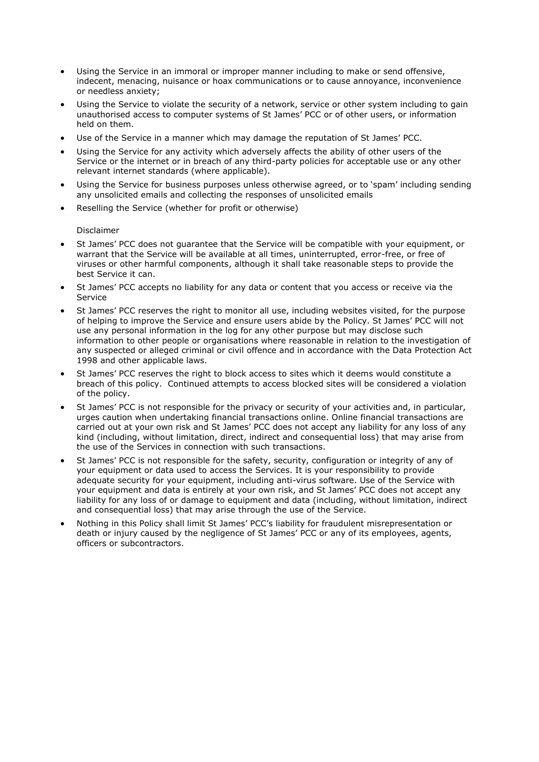- Using the Service in an immoral or improper manner including to make or send offensive, indecent, menacing, nuisance or hoax communications or to cause annoyance, inconvenience or needless anxiety;
- Using the Service to violate the security of a network, service or other system including to gain unauthorised access to computer systems of St James' PCC or of other users, or information held on them.
- Use of the Service in a manner which may damage the reputation of St James' PCC.
- Using the Service for any activity which adversely affects the ability of other users of the Service or the internet or in breach of any third-party policies for acceptable use or any other relevant internet standards (where applicable).
- Using the Service for business purposes unless otherwise agreed, or to 'spam' including sending any unsolicited emails and collecting the responses of unsolicited emails
- Reselling the Service (whether for profit or otherwise)

Disclaimer

- St James' PCC does not guarantee that the Service will be compatible with your equipment, or warrant that the Service will be available at all times, uninterrupted, error-free, or free of viruses or other harmful components, although it shall take reasonable steps to provide the best Service it can.
- St James' PCC accepts no liability for any data or content that you access or receive via the Service
- St James' PCC reserves the right to monitor all use, including websites visited, for the purpose of helping to improve the Service and ensure users abide by the Policy. St James' PCC will not use any personal information in the log for any other purpose but may disclose such information to other people or organisations where reasonable in relation to the investigation of any suspected or alleged criminal or civil offence and in accordance with the Data Protection Act 1998 and other applicable laws.
- St James' PCC reserves the right to block access to sites which it deems would constitute a breach of this policy. Continued attempts to access blocked sites will be considered a violation of the policy.
- St James' PCC is not responsible for the privacy or security of your activities and, in particular, urges caution when undertaking financial transactions online. Online financial transactions are carried out at your own risk and St James' PCC does not accept any liability for any loss of any kind (including, without limitation, direct, indirect and consequential loss) that may arise from the use of the Services in connection with such transactions.
- St James' PCC is not responsible for the safety, security, configuration or integrity of any of your equipment or data used to access the Services. It is your responsibility to provide adequate security for your equipment, including anti-virus software. Use of the Service with your equipment and data is entirely at your own risk, and St James' PCC does not accept any liability for any loss of or damage to equipment and data (including, without limitation, indirect and consequential loss) that may arise through the use of the Service.
- Nothing in this Policy shall limit St James' PCC's liability for fraudulent misrepresentation or death or injury caused by the negligence of St James' PCC or any of its employees, agents, officers or subcontractors.